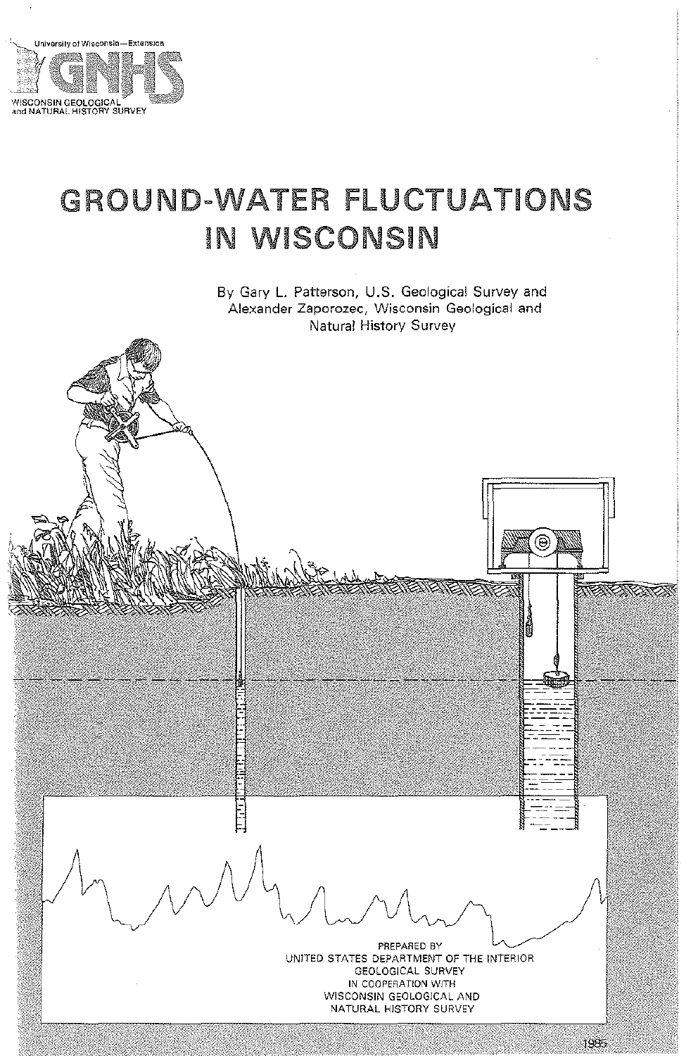

# GROUND-WATER FLUCTUATIONS **IN WISCONSIN**

By Gary L. Patterson, U.S. Geological Survey and Alexander Zaporozec, Wisconsin Geological and Natural History Survey

> PREPARED BY UNITED STATES DEPARTMENT OF THE INTERIOR GEOLOGICAL SURVEY IN COOPERATION WITH WISCONSIN GEOLOGICAL AND NATURAL HISTORY SURVEY

**AGAGAZAZ** 

**XAXXX** 

1935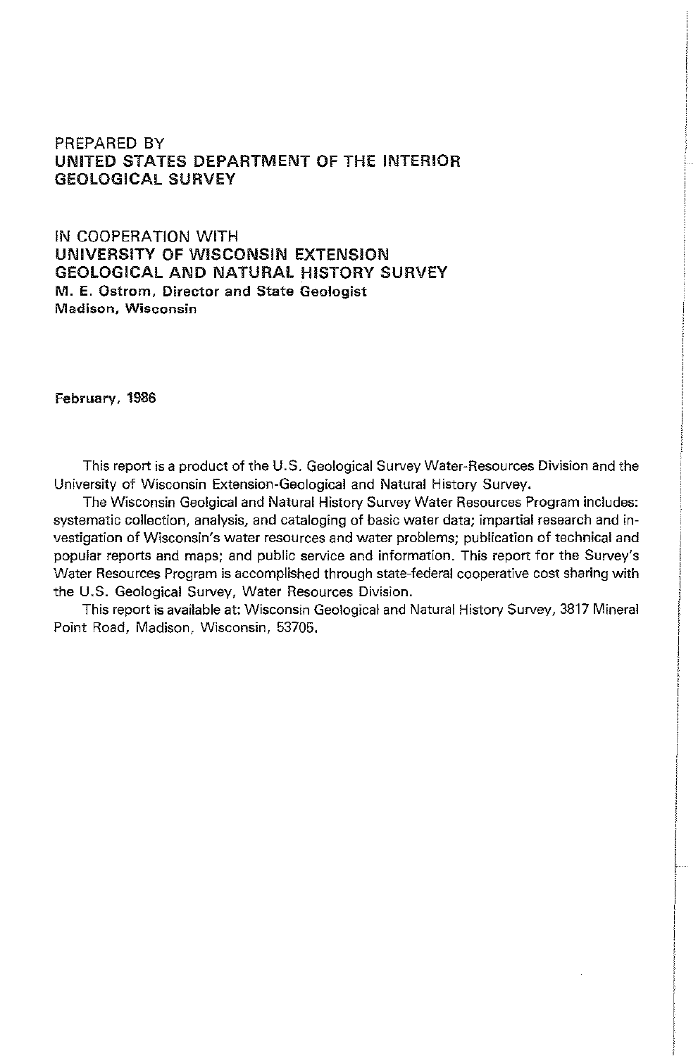## PREPARED BY UNITED STATES DEPARTMENT OF THE INTERIOR GEOLOGICAL SURVEY

IN COOPERATION WITH UNIVERSITY OF WISCONSIN EXTENSION GEOLOGICAL AND NATURAL HISTORY SURVEY M. E. Ostrom, Director and State Geologist Madison, Wisconsin

February, 1986

This report is a product of the U.S. Geological Survey Water-Resources Division and the University of Wisconsin Extension-Geological and Natural History Survey.

The Wisconsin Geolgical and Natural History Survey Water Resources Program includes: systematic collection, analysis, and cataloging of basic water data; impartial research and investigation of Wisconsin's water resources and water problems; publication of technical and popular reports and maps; and public service and information. This report for the Survey's Water Resources Program is accomplished through state-federal cooperative cost sharing with the U.S. Geological Survey, Water Resources Division.

This report is available at: Wisconsin Geological and Natural History Survey, 3817 Mineral Point Road, Madison, Wisconsin, 53705.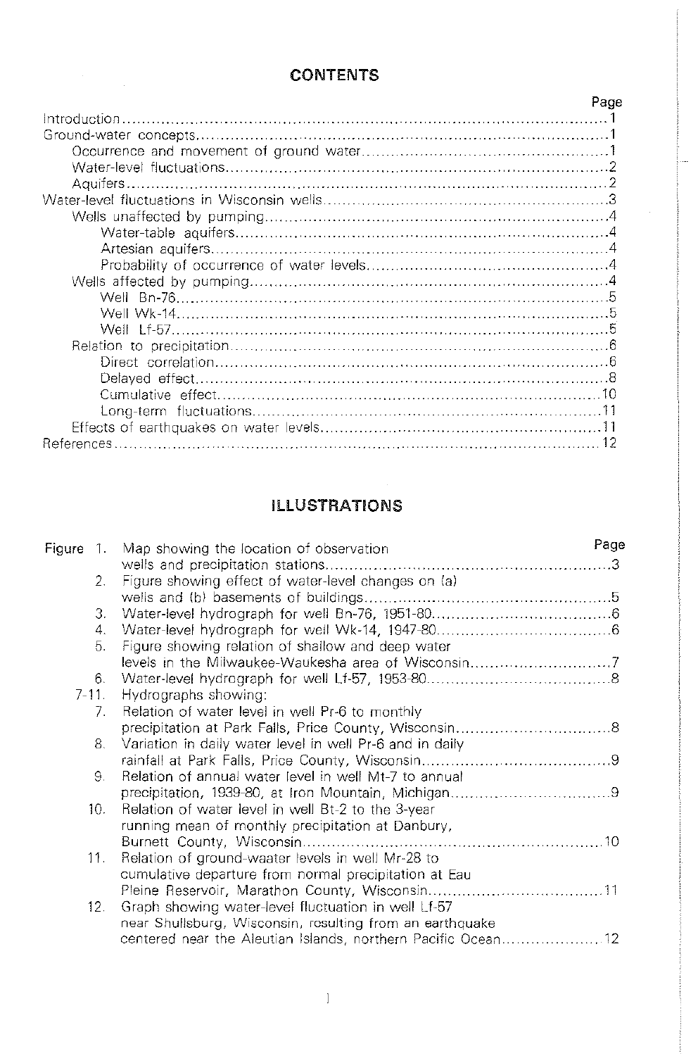## **CONTENTS**

| Page |
|------|
|      |
|      |
|      |
|      |
|      |
|      |
|      |
|      |
|      |
|      |
|      |
|      |
|      |
|      |
|      |
|      |
|      |
| 10   |
|      |
|      |
|      |

# ILLUSTRATIONS

|       | Figure 1. Map showing the location of observation            | Page |
|-------|--------------------------------------------------------------|------|
|       |                                                              |      |
| 2.    | Figure showing effect of water-level changes on (a)          |      |
|       |                                                              |      |
| З.    |                                                              |      |
| 4.    |                                                              |      |
| 5.    | Figure showing relation of shallow and deep water            |      |
|       | levels in the Milwaukee-Waukesha area of Wisconsin7          |      |
| 6.    |                                                              |      |
| 7-11. | Hydrographs showing:                                         |      |
| 7.    | Relation of water level in well Pr-6 to monthly              |      |
|       |                                                              |      |
| 8.    | Variation in daily water level in well Pr-6 and in daily     |      |
|       |                                                              |      |
| 9.    | Relation of annual water level in well Mt-7 to annual        |      |
|       |                                                              |      |
| 10.   | Relation of water level in well Bt-2 to the 3-year           |      |
|       | running mean of monthly precipitation at Danbury,            |      |
|       |                                                              |      |
| 11.   | Relation of ground-waater levels in well Mr-28 to            |      |
|       | cumulative departure from normal precipitation at Eau        |      |
|       |                                                              |      |
| 12.   | Graph showing water-level fluctuation in well Lf-57          |      |
|       | near Shullsburg, Wisconsin, resulting from an earthquake     |      |
|       | centered near the Aleutian Islands, northern Pacific Ocean12 |      |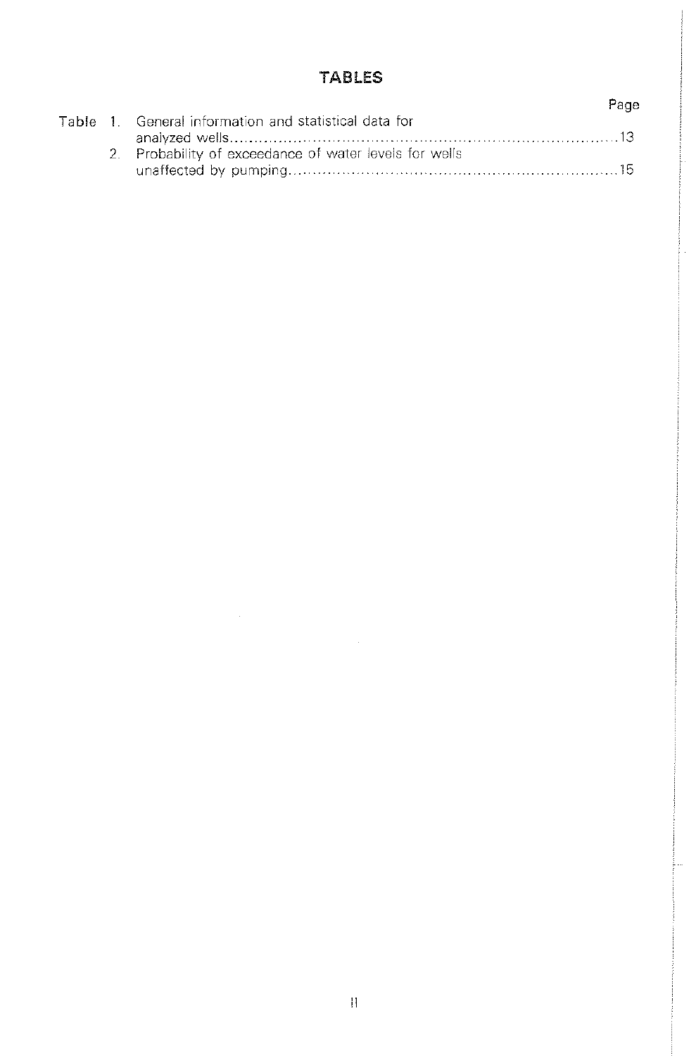## TABLES

|  |                                                        | Page |
|--|--------------------------------------------------------|------|
|  | Table 1. General information and statistical data for  |      |
|  |                                                        |      |
|  | 2. Probability of exceedance of water levels for wells |      |
|  |                                                        |      |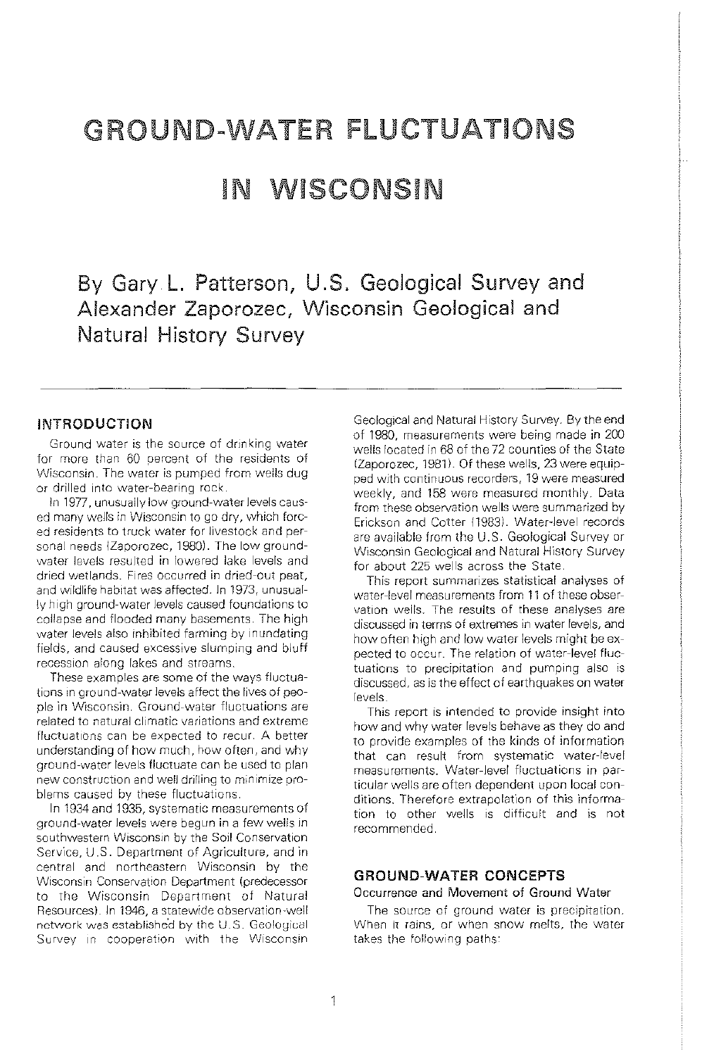# GROUND-WATER FLUCTUATIONS

# IN WISCONSIN

By Gary L. Patterson, U.S. Geological Survey and Alexander Zaporozec, Wisconsin Geological and Natural History Survey

### INTRODUCTION

Ground water is the source of drinking water for more than 60 percent of the residents of Wisconsin. The water is pumped from wells dug or drilled into water-bearing rock.

In 1977, unusually low ground-water levels caused many wells in Wisconsin to go dry, which forced residents to truck water for livestock and personal needs (Zaporozec, 1980). The low groundwater levels resulted in lowered lake levels and dried wetlands. Fires occurred in dried-out peat, and wildlife habitat was affected. In 1973, unusually high ground-water levels caused foundations to collapse and flooded many basements. The high water levels also inhibited farming by inundating fields, and caused excessive slumping and bluff recession along lakes and streams.

These examples are some of the ways fluctuations in ground-water levels affect the lives of people in Wisconsin. Ground-water fluctuations are related to natural climatic variations and extreme fluctuations can be expected to recur. A better understanding of how much, how often, and why ground-water levels fluctuate can be used to plan new construction and well drilling to minimize problems caused by these fluctuations.

In 1934 and 1935, systematic measurements of ground-water levels were begun in a few wells in southwestern Wisconsin by the Soil Conservation Service, U.S. Department of Agriculture, and in central and northeastern Wisconsin by the Wisconsin Conservation Department (predecessor to the Wisconsin Department of Natural Resources). In 1946, a statewide observation-well network was established by the U.S. Geological Survey in cooperation with the Wisconsin

Geological and Natural History Survey. By the end of 1980, measurements were being made in 200 wells located in 68 of the 72 counties of the State (Zaporozec, 1981). Of these wells, 23 were equipped with continuous recorders, 19 were measured weekly, and 158 were measured monthly. Data from these observation wells were summarized by Erickson and Cotter (1983). Water-level records are available from the U.S. Geological Survey or Wisconsin Geological and Natural History Survey for about 225 wells across the State.

This report summarizes statistical analyses of water-level measurements from 11 of these observation wells. The results of these analyses are discussed in terms of extremes in water levels, and how often high and low water levels might be expected to occur. The relation of water-level fluctuations to precipitation and pumping also is discussed, as is the effect of earthquakes on water levels

This report is intended to provide insight into how and why water levels behave as they do and to provide examples of the kinds of information that can result from systematic water-level measurements. Water-level fluctuations in particular wells are often dependent upon local conditions. Therefore extrapolation of this information to other wells is difficult and is not recommended.

### GROUND-WATER CONCEPTS

**Occurrence and Movement of Ground Water** 

The source of ground water is precipitation. When it rains, or when snow melts, the water takes the following paths: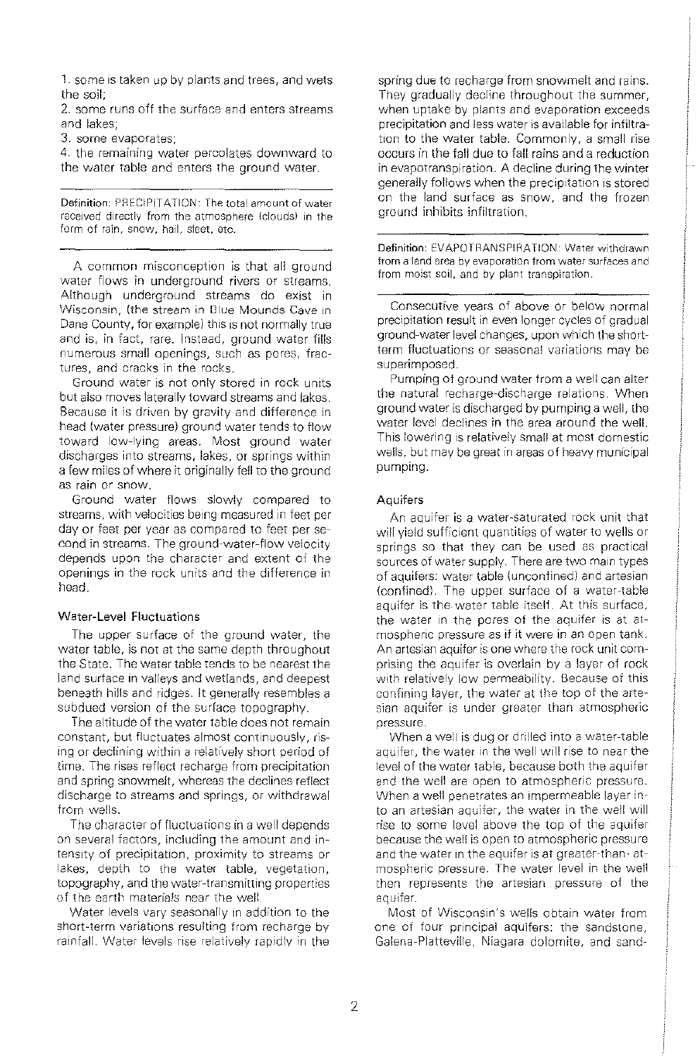**1.** some is taken up by plants and trees, and wets the soil;

2. some runs off the surface and enters streams and lakes;

3. some evaporates;

4. the remaining water percolates downward to the water table and enters the ground water.

**Definition:** PRECIPITATION: The total amount of water received directly from the atmosphere {clouds) in the form of rain, snow, hail, sleet, etc.

A common misconception is that all ground water flows in underground rivers or streams. Although underground streams do exist in Wisconsin, {the stream in Glue Mounds Cave in Dane County, for example) this is not normally true and is, in fact, rare. Instead, ground water fills numerous small openings, such as pores, fractures, and cracks in the rocks.

Ground water is not only stored in rock units but also *moves* laterally toward streams and lakes. Because it is driven by gravity and difference in head (water pressure) ground water tends to flow toward low-lying areas. Most ground water discharges into streams, lakes, or springs within a few miles of where it originally fell to the ground as rain or snow.

Ground water flows slowly compared to streams, with velocities being measured in feet per day or feet per year as compared to feet per second in streams. The ground-water-flow velocity depends upon the character and extent of the openings in the rock units and the difference in head.

#### **Water-Level Fluctuations**

The upper surface of the ground water, the water table, is not at the same depth throughout the State. The water tab!e tends to be nearest the land surface in valleys and wetlands, and deepest beneath hills and ridges. It generally resembles a subdued version of the surface topography.

The altitude of the water table does not remain constant, but fluctuates almost continuously, rising or declining within a relatively short period of time. The rises reflect recharge from precipitation and spring snowmelt, whereas the declines reflect discharge to streams and springs, or withdrawal from wells.

The character of fluctuations in a well depends on several factors, including the amount and intensity of precipitation, proximity to streams or lakes, depth to the water table, vegetation, topography, and the water-transmitting properties of the earth materials near the well.

Water levels vary seasonally in addition to the short-term variations resulting from recharge by rainfall. Water levels rise relatively rapidly in the spring due to recharge from snowmelt and rains. They gradually decline throughout the summer, when uptake by plants and evaporation exceeds precipitation and less water is available for infiltration to the water table. Commonly, a small rise occurs in the fall due to fall rains and a reduction in evapotranspiration. A decline during the winter generally follows when the precipitation is stored on the land surface as snow, and the frozen ground inhibits infiltration.

**Definition:** EVAPOTRANSPIRATION· Water withdrawn from a land area by evaporation from water surfaces and from moist soil, and by plant transpiration

Consecutive years of above or below normal precipitation result in even longer cycles of gradual ground-water level changes, upon which the shortterm fluctuations or seasonal variations may be superimposed.

Pumping of ground water from a well can alter the natural recharge-discharge relations. When ground water is discharged by pumping a well, the water level declines in the area around the well. This lowering is relatively small at most domestic wells, but may be great in areas of heavy municipal pumping.

#### **Aquifers**

An aquifer is a water-saturated rock unit that will yield sufficient quantities of water to wells or springs so that they can be used as practical sources of water supply. There are two main types of aquifers: water table (unconfined) and artesian (confined). The upper surface of a water-table aquifer is the water table itself. At this surface, the water in the pores of the aquifer is at atmospheric pressure as if it were in an open tank. An artesian aquifer is one where the rock unit comprising the aquifer is overlain by a layer of rock with relatively low permeability. Because of this confining layer, the water at the top of the artesian aquifer is under greater than atmospheric pressure.

When a well is dug or drilled into a water-table aquifer, the water in the well will rise to near the level of the water table, because both the aquifer and the well are open to atmospheric pressure. When a well penetrates an impermeable layer into an artesian aquifer, the water in the well will rise to some level above the top of the aquifer because the well is open to atmospheric pressure and the water in the aquifer is at greater-than- atmospheric pressure. The water level in the well then represents the artesian pressure of the aquifer.

Most of Wisconsin's wells obtain water from one of four principal aquifers: the sandstone, Galena-Platteville, Niagara dolomite, and sand-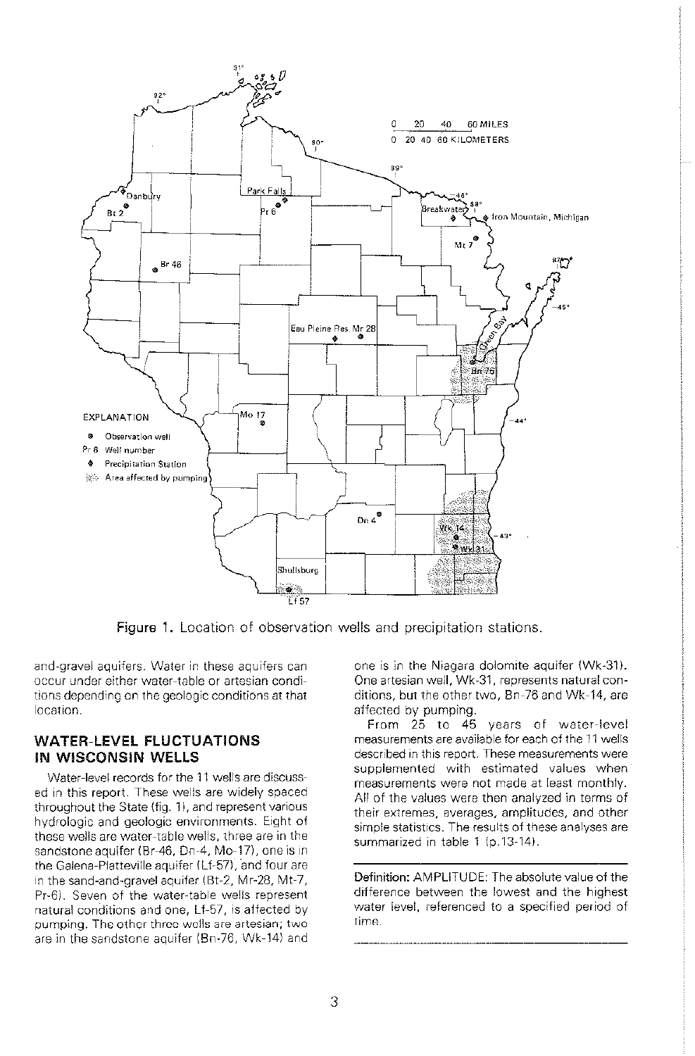

**Figure 1.** Location of observation wells and precipitation stations.

and-gravel aquifers. Water in these aquifers can occur under either water-table or artesian conditions depending on the geologic conditions at that location.

### WATER-LEVEL FLUCTUATIONS IN WISCONSIN WELLS

Water-level records for the 11 wells are discussed in this report. These wells are widely spaced throughout the State (fig. 1), and represent various hydrologic and geologic environments. Eight of these wells are water-table wells, three are in the sandstone aquifer (Br-46, Dn-4, Mo-17), one is in the Galena-Platteville aquifer (Lf-57), and four are in the sand-and-gravel aquifer (Bt-2, Mr-28, Mt-7, Pr-6). Seven of the water-table wells represent natural conditions and one, Lf-57, is affected by pumping. The other three wells are artesian; two are in the sandstone aquifer (Bn-76, Wk-14) and one is in the Niagara dolomite aquifer (Wk-31). One artesian well, Wk-31, represents natural conditions, but the other two, Bn-76 and Wk-14, are affected by pumping.

From 25 to 45 years of water-level measurements are available for each of the 11 wells described in this report. These measurements were supplemented with estimated values when measurements were not made at least monthly. All of the values were then analyzed in terms of their extremes, averages, amplitudes, and other simple statistics. The results of these analyses are summarized in table 1 (p.13-14).

**Definition:** AMPLITUDE: The absolute value of the difference between the lowest and the highest water level, referenced to a specified period of time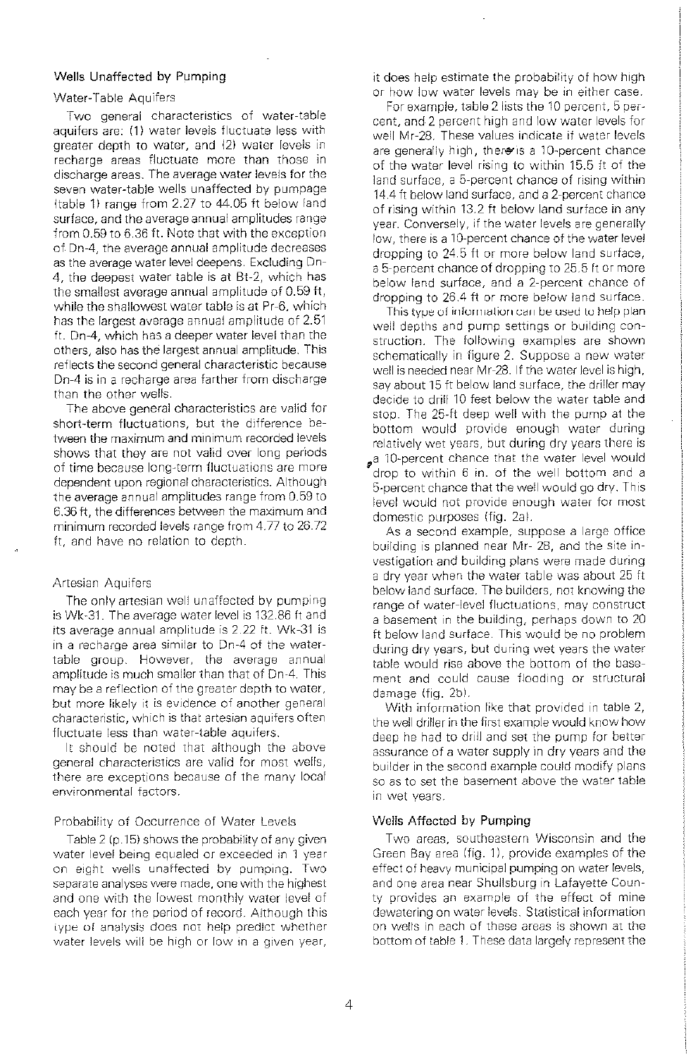#### **Wells Unaffected by Pumping**

#### Water-Table Aquifers

Two general characteristics of water-table aquifers are: **(1)** water levels fluctuate less with greater depth to water, and (2) water levels in recharge areas fluctuate more than those in discharge areas. The average water levels for the seven water-table wells unaffected by pumpage (table 1) range from 2.27 to 44.05 ft below land surface, and the average annual amplitudes range from 0.59 to 6.36 ft. Note that with the exception of Dn-4, the average annual amplitude decreases as the average water level deepens. Excluding Dn-4, the deepest water table is at Bt-2, which has the smallest average annual amplitude of 0.59 ft, while the shallowest water table is at Pr-6, which has the largest average annual amplitude of 2.51 ft. Dn-4, which has a deeper water level than the others, also has the largest annual amplitude. This reflects the second general characteristic because Dn-4 is in a recharge area farther from discharge than the other wells.

The above general characteristics are valid for short-term fluctuations, but the difference between the maximum and minimum recorded levels shows that they are not valid over long periods of time because long-term fluctuations are more dependent upon regional characteristics. Although the average annual amplitudes range from 0.59 to 6.36 ft, the differences between the maximum and minimum recorded levels range from 4.77 to 26.72 ft, and have no relation to depth

#### Artesian Aquifers

The only artesian well unaffected by pumping is Wk-31. The average water level is 132.86 ft and its average annual amplitude is 2.22 ft. Wk-31 is in a recharge area similar to Dn-4 of the watertable group. However, the average annual amplitude is much smaller than that of Dn-4. This may be a reflection of the greater depth to water, but more likely it is evidence of another general characteristic, which is that artesian aquifers often fluctuate less than water-table aquifers.

ll should be noted that although the above general characteristics are valid for most wells, there are exceptions because of the many local environmental factors.

#### Probability of Occurrence of Water Levels

Table 2 (p.15) shows the probability of any given water level being equaled or exceeded in 1 year on eight \ivells unaffected by pumping. Two separate analyses were made, one with the highest and one with the lowest monthly water level of each year for the period of record. Although this iype of analysis does not help predict whether water levels will be high or low in a given year,

it does help estimate the probability of how high or how low water levels may be in either case.

For example, table 2 lists the 10 percent, 5 percent, and 2 percent high and low water levels for well Mr-28. These values indicate if water levels are generally high, there is a 10-percent chance. of the water level rising to within 15.5 ft of the land surface, a 5-percent chance of rising within 14.4 ft below land surface, and a 2-percent chance of rising within 13.2 ft below land surface in any year. Conversely, if the water levels are generally low, there is a 10-percent chance of the water leve! dropping to 24.5 ft or more below land surface, a 5-percent chance of dropping to 25.5 ft or more below land surface, and a 2-percent chance of dropping to 26.4 ft or more below land surface.

This type of information can be used to help plan. well depths and pump settings or building construction. The following examples are shown schematically in figure 2. Suppose a new water well is needed near Mr-28. If the water level is high, say about 15 ft below land surface, the driller may decide to drill 10 feet below the water table and stop. The 25-ft deep well with the pump at the bottom would provide enough water during relatively wet years, but during dry years there is a 10-percent chance that the water level would 'drop to within 6 in. of the well bottom and a 5-percent chance that the well would go dry. This level would not provide enough water for most domestic purposes (fig. 2a).

As a second example, suppose a large office building is planned near Mr- 28, and the site investigation and building plans were made during a dry year when the water table was about 25ft below land surface. The builders, not knowing the range of water-level fluctuations. may construct a basement in the building, perhaps down to 20 ft below land surface. This would be no problem during dry years, but during wet years the water table would rise above the bottom of the basement and could cause flooding or structural damage (fig. 2b).

With information like that provided in table 2, the well driller in the first example would know how deep he had to drill and set the pump for better assurance of a water supply in dry years and the builder in the second example could modify plans so as to set the basement above the water table in wet years.

#### Wells Affected by **Pumping**

Two areas, southeastern Wisconsin and the Green Bay area (fig. 1), provide examples of the effect of heavy municipal pumping on water levels, and one area near Shullsburg in Lafayette County provides an example of the effect of mine dewatering on water levels. Statistical information on wells in each of these areas is shown at the bottom of table 1. These data largely represent the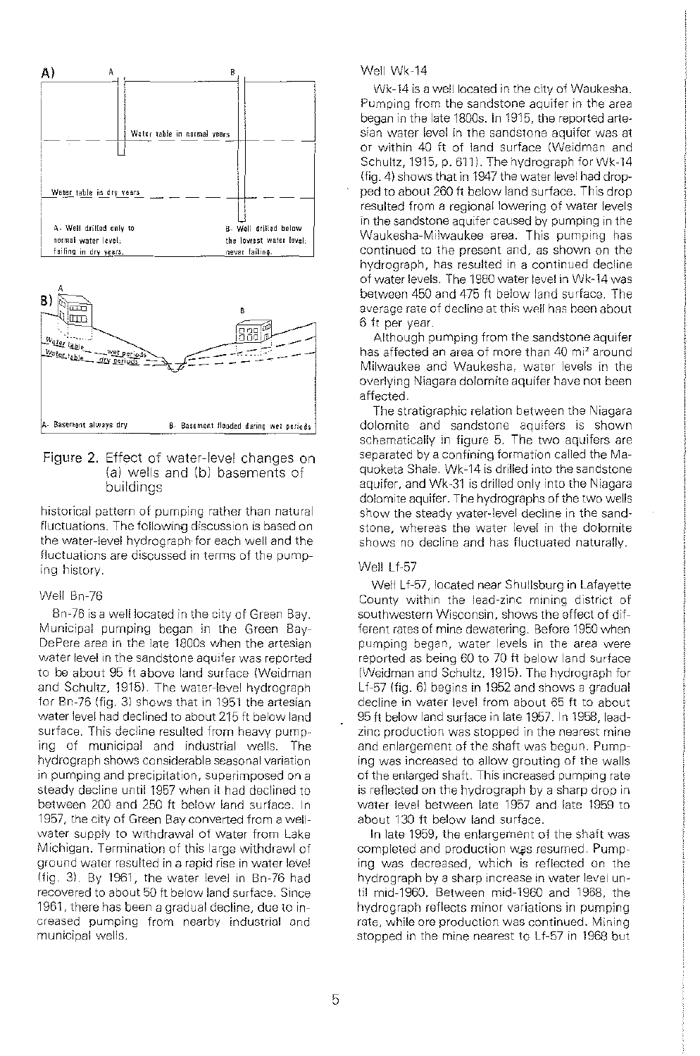

#### **Figure 2.** Effect of water-level changes on (a) wells and (b) basements of buildings

historical pattern of pumping rather than natural fluctuations. The following discussion is based on the water-ievel hydrograph·for each well and the fluctuations are discussed in terms of the pumping history.

#### Well Bn-76

Bn-76 is a well located in the city of Green Bay. Municipal pumping began in the Green Bay-DePere area in the late 1800s when the artesian water level in the sandstone aquifer was reported to be about 95 ft above land surface (Weidman and Schultz, 1915). The water-level hydrograph for Bn-76 (fig. 3) shows that in 1951 the artesian water level had declined to about 215 ft below land surface. This decline resulted from heavy pump· ing of municipal and industrial wells. The hydrograph shows considerable seasonal variation in pumping and precipitation, superimposed on a steady decline until 1957 when it had declined to between 200 and 250 ft below land surface. In 1957, the city of Green Bay converted from a wellwater supply to withdrawal of water from Lake Michigan. Termination of this large withdraw! of ground water resulted in a rapid rise in water level !fig. 3). By 1961, the water level in Bn-76 had recovered to about 50ft below land surface. Since 1961, there has been a gradual decline, due to increased pumping from nearby industrial ond municipal wells.

#### Well Wk-14

Wk-14 is a well located in the city of Waukesha. Pumping from the sandstone aquifer in the area began in the late 1800s. In 1915, the reported artesian water level in the sandstone aquifer was at or within 40 ft of land surface (Weidman and Schultz, 1915, p. 611). The hydrograph for Wk-14 (fig. 4) shows that in 1947 the water level had dropped to about 260ft below land surface. This drop resulted from a regional lowering of water levels in the sandstone aquifer caused by pumping in the Waukesha-Milwaukee area. This pumping has continued to the present and, as shown on the hydrograph, has resulted in a continued decline of water levels. The 1980 water level in Wk-14 was between 450 and 475 ft below land surface. The average rate of decline at this well has been about. 6ft per year.

Although pumping from the sandstone aquifer has affected an area of more than 40 mi<sup>2</sup> around Milwaukee and Waukesha, water levels in the overlying Niagara dolomite aquifer have not been affected.

The stratigraphic relation between the Niagara dolomite and sandstone aquifers is shown schematically in figure 5. The two aquifers are separated by a confining formation called the Maquoketa Shale. Wk-14 is drilled into the sandstone aquifer, and Wk-31 is drilled only into the Niagara dolomite aquifer. The hydrographs of the two wells show the steady water-level decline in the sandstone, whereas the water level in the dolomite shows no decline and has fluctuated naturally.

#### Well Lf-57

Well Lf-57, located near Shullsburg in Lafayette County within the lead-zinc mining district of southwestern Wisconsin, shows the effect of different rates of mine dewatering. Before 1950 when pumping began, water levels in the area were reported as being 60 to 70 ft below land surface (Weidman and Schultz, 1915). The hydrograph for Lf-57 (fig. 6l begins in 1952 and shows a gradual decline in water level from about 65 ft to about 95ft below land surface in late 1957. In 1958, leadzinc production was stopped in the nearest mine and enlargement of the shaft was begun. Pumping was increased to allow grouting of the walls of the enlarged shaft. This increased pumping rate is reflected on the hydrograph by a sharp drop in water level between late 1957 and late 1959 to about 130 ft below land surface.

In late 1959, the enlargement of the shaft was completed and production was resumed. Pumping was decreased, which is reflected on the hydrograph by a sharp increase in water levei until mid-1960. Between mid-1960 and 1968, the hydrograph reflects minor variations in pumping rate, while ore production was continued. Mining stopped in the mine nearest to Lf-57 in 1968 but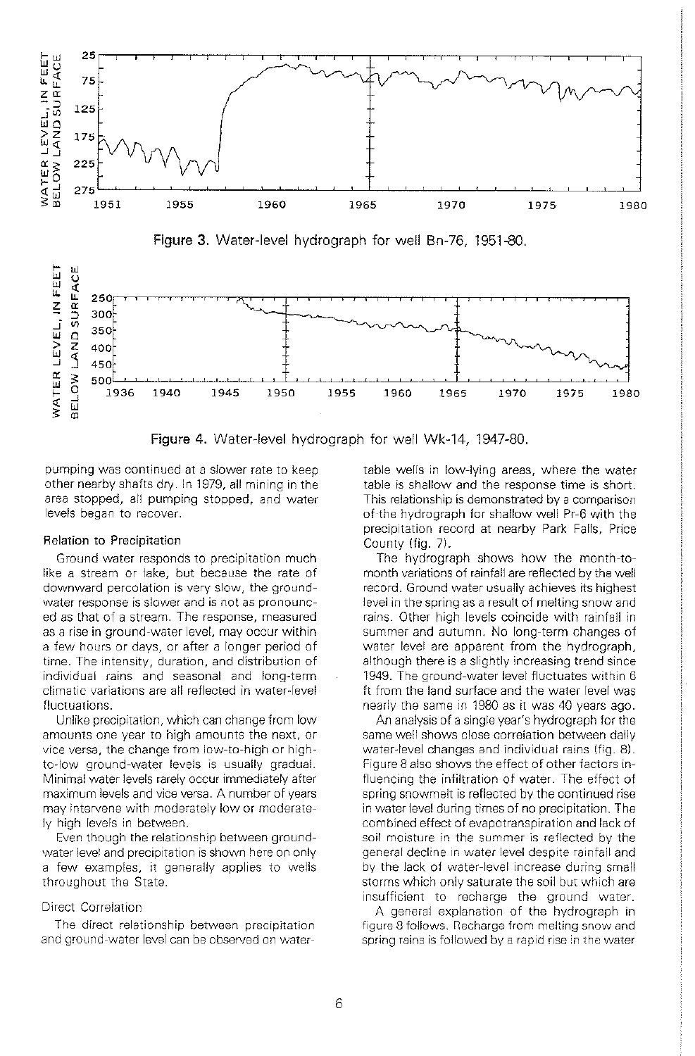

Figure 4. Water-level hydrograph for well Wk-14, 1947-80.

pumping was continued at a slower rate to keep other nearby shafts dry. In 1979, all mining in the area stopped, ail pumping stopped, and water levels began to recover.

#### Relation to Precipitation

Ground water responds to precipitation much like a stream or lake, but because the rate of downward percolation is very slow, the groundwater response is slower and is not as pronounced as that of a stream. The response, measured as a rise in ground~water level, may occur within a few hours or days, or after a longer period of time. The intensity, duration, and distribution of individual rains and seasonal and long-term climatic variations are all reflected in water-level fluctuations.

Unlike precipitation, which can change from low amounts one year to high amounts the next, or vice versa, the change from low-to-high or highto-low ground-water levels is usually gradual. Minimal water levels rarely occur immediately after maximum levels and vice versa. A number of years may intervene with moderately low or moderately high levels in between.

Even though the relationship between groundwater level and precipitation is shown here on only a few examples, it generally applies to wells throughout the State.

#### Direct Correlation

The direct relationship between precipitation and ground-water level can be observed on watertable wells in low-lying areas, where the water table is shallow and the response time is short. This relationship is demonstrated by a comparison of the hydrograph for shallow well Pr-6 with the precipitation record at nearby Park Falls, Price County (fig. 7).

The hydrograph shows how the month-tomonth variations of rainfall are reflected by the well record. Ground water usually achieves its highest level in the spring as a result of melting snow and rains. Other high levels coincide with rainfall in summer and autumn. No long-term changes of water level are apparent from the hydrograph, although there is a slightly increasing trend since 1949. The ground-water level fluctuates within 6 ft from the land surface and the water level was nearly the same in 1980 as it was 40 years ago.

An analysis of a single year's hydrograph for the same well shows close correlation between daily water-level changes and individual rains (fig. 8). Figure 8 also shows the effect of other factors influencing the infiltration of water. The effect of spring snowmelt is reflected by the continued rise in water level during times of no precipitation. The combined effect of evapotranspiration and lack of soil moisture in the summer is reflected by the general decline in water level despite rainfall and by the lack of water-level increase during small storms which only saturate the soil but which are insufficient to recharge the ground water.

A general explanation of the hydrograph in figure 8 follows. necharge from melting snow and spring rains is followed by a rapid rise in the water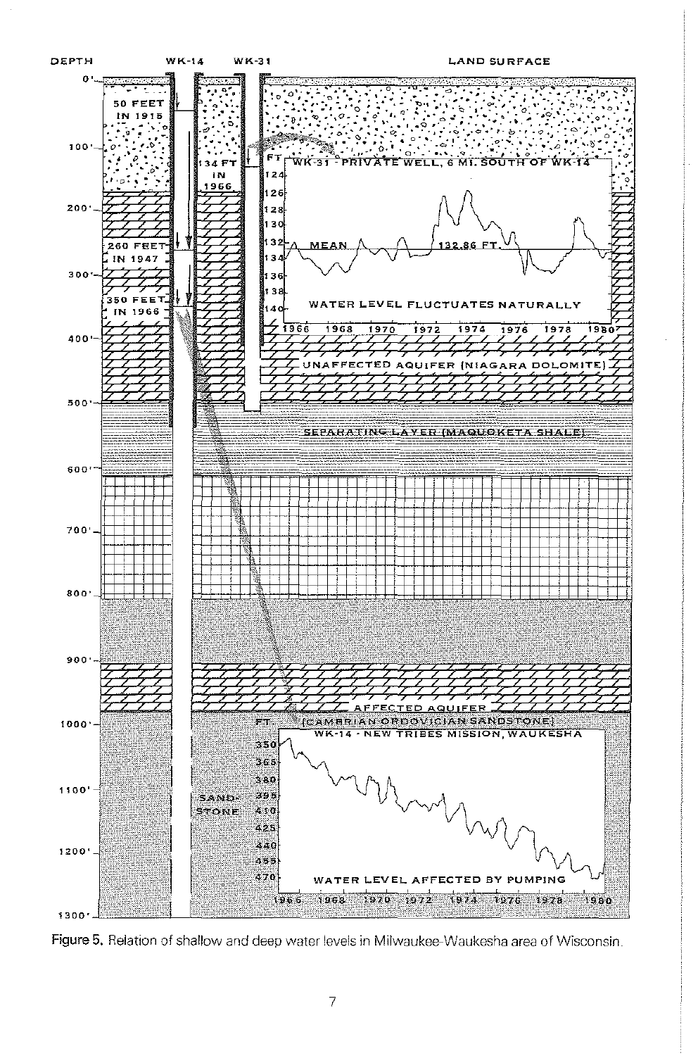

Figure 5. Relation of shallow and deep water levels in Milwaukee-Waukesha area of Wisconsin.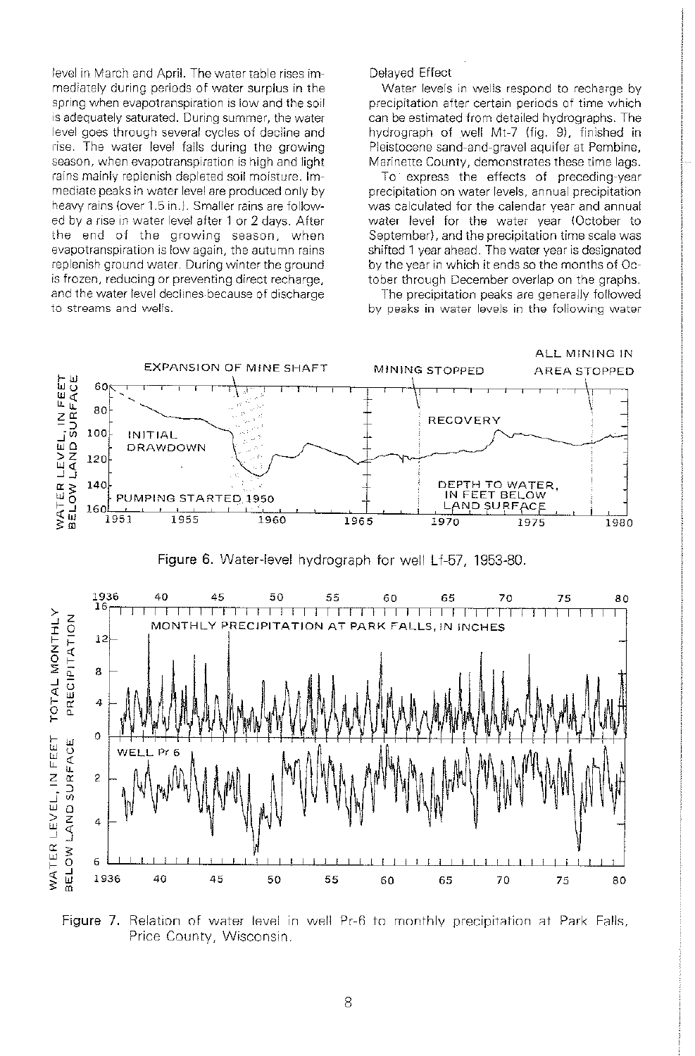level in March and April. The water table rises immediately during periods of water surplus in the spring when evapotranspiration is low and the soil is adequately saturated. During summer, the water level goes through several cycles of decline and rise. The water level falls during the growing season, when evapotranspiration is high and light rains mainly replenish depleted soil moisture. Immediate peaks in water level are produced only by heavy rains (over 1.5 in.). Smaller rains are followed by a rise in water level after 1 or 2 days. After the end of the growing season, when evapotranspiration is low again, the autumn rains replenish ground water. During winter the ground is frozen, reducing or preventing direct recharge, and the water level declines because of discharge to streams and wells.

Delayed Effect

Water levels in wells respond to recharge by precipitation after certain periods of time which can be estimated from detailed hydrographs. The hydrograph of well Mt-7 (fig. 9), finished in Pleistocene sand-and-gravel aquifer at Pembine, Marinette County, demonstrates these time lags.

To express the effects of preceding-year precipitation on water levels, annual precipitation was calculated for the calendar year and annual water level for the water year (October to September}, and the precipitation time scale was shifted 1 year ahead. The water year is designated by the year in which it ends so the months of October through December overlap on the graphs.

The precipitation peaks are generally followed by peaks in water levels in the following water



Figure 6. Water-level hydrograph for well Lf-57, 1953-80.



Figure 7. Relation of water level in well Pr-6 to monthly precipitation at Park Falls, Price County, Wisconsin.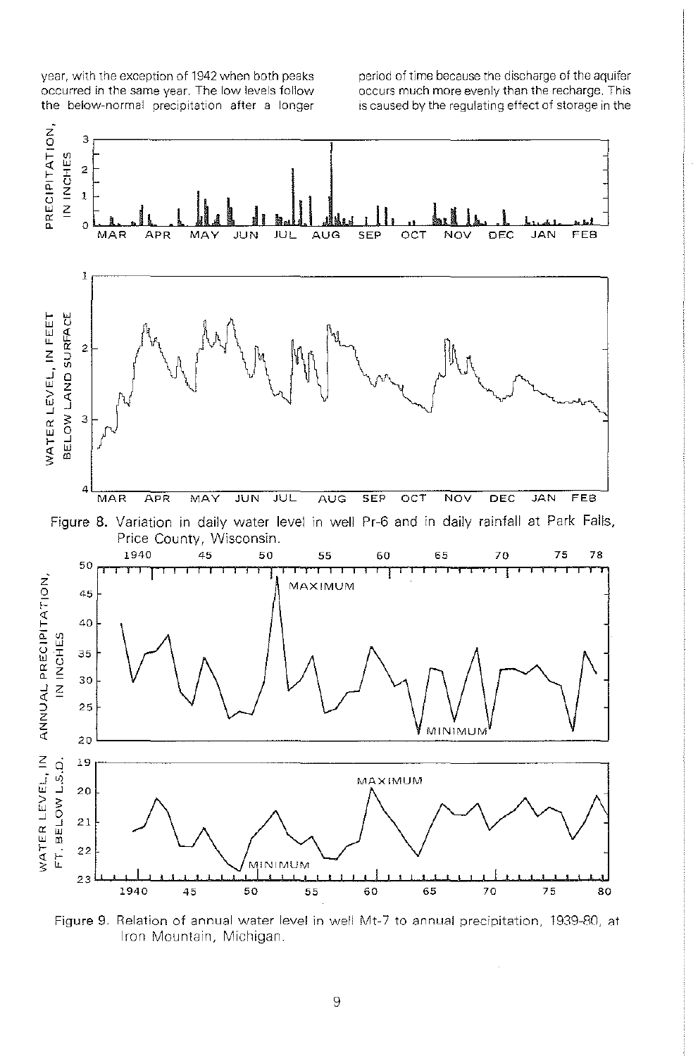year, with the exception of 1942 when both peaks occurred in the same year. The low levels follow the below-normal precipitation after a longer period of time because the discharge of the aquifer occurs much more evenly than the recharge. This is caused by the regulating effect of storage in the



Figure 9. Relation of annual water level in well Mt-7 to annual precipitation, 1939-80, at Iron Mountain, Michigan.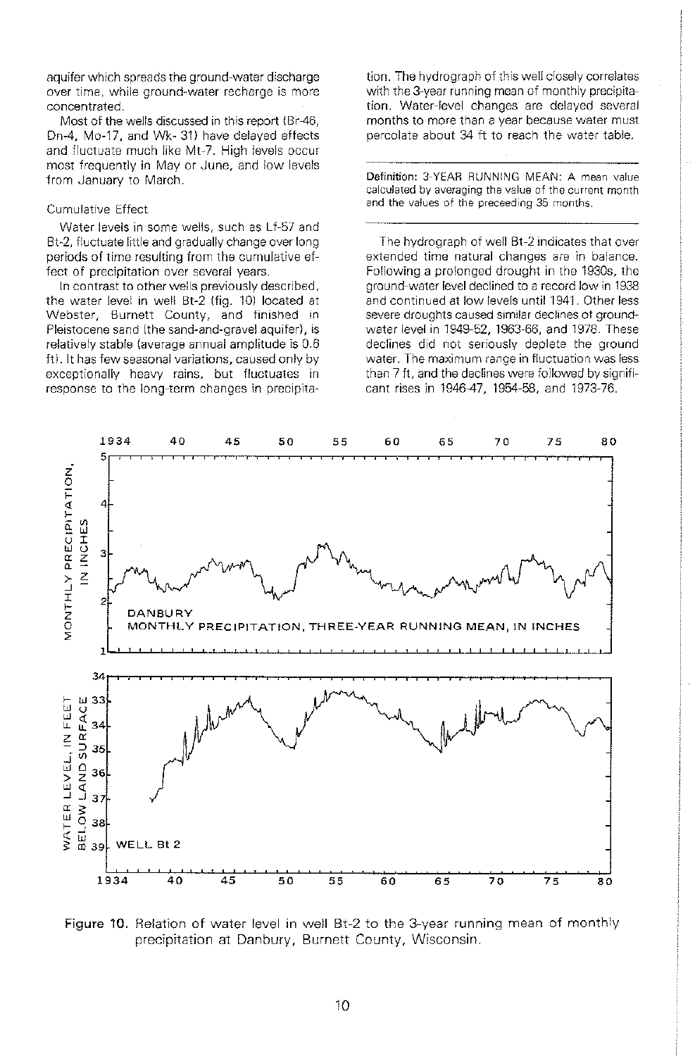aquifer which spreads the ground-water discharge over time, while ground-water recharge is more concentrated.

Most of the wells discussed in this report (Br-46, Dn-4, Mo-17, and Wk- 31) have delayed effects and fluctuate much like Mt-7. High levels occur most frequently in May or June, and low levels from January to March.

#### Cumulative Effect

Water levels in some wells, such as Lf-57 and Bt-2, fluctuate little and gradually change over long periods of time resulting from the cumulative effect of precipitation over several years.

In contrast to other wells previously described, the water level in well Bt-2 (fig. 10) located at Webster, Burnett County, and finished in Pleistocene sand (the sand-and-gravel aquifer}, is relatively stable {average annual amplitude is 0.6 ft). It has few seasonal variations, caused only by exceptionally heavy rains, but fluctuates in response to the long-term changes in precipitation. The hydrograph of this well closely correlates with the 3-year running mean of monthly precipitation. Water-level changes are delayed several months to more than a year because water must percolate about 34 ft to reach the water table.

Definition: 3-YEAR RUNNING MEAN: A mean value calculated by averaging the value of the current month and the values of the preceeding 35 months

The hydrograph of well Bt-2 indicates that over extended time natural changes are in balance. Following a prolonged drought in the 1930s, the ground-water level declined to a record low in 1938 and continued at low levels until 1941. Other less severe droughts caused similar declines ot groundwater level in 1949-52, 1963-66, and 1978. These declines did not seriously deplete the ground water. The maximum range in fluctuation was less than 7 ft, and the declines were followed by significant rises in 1946-47, 1954-58, and 1973-76.



Figure 10. Relation of water level in well Bt-2 to the 3-year running mean of monthly precipitation at Danbury, Burnett County, Wisconsin.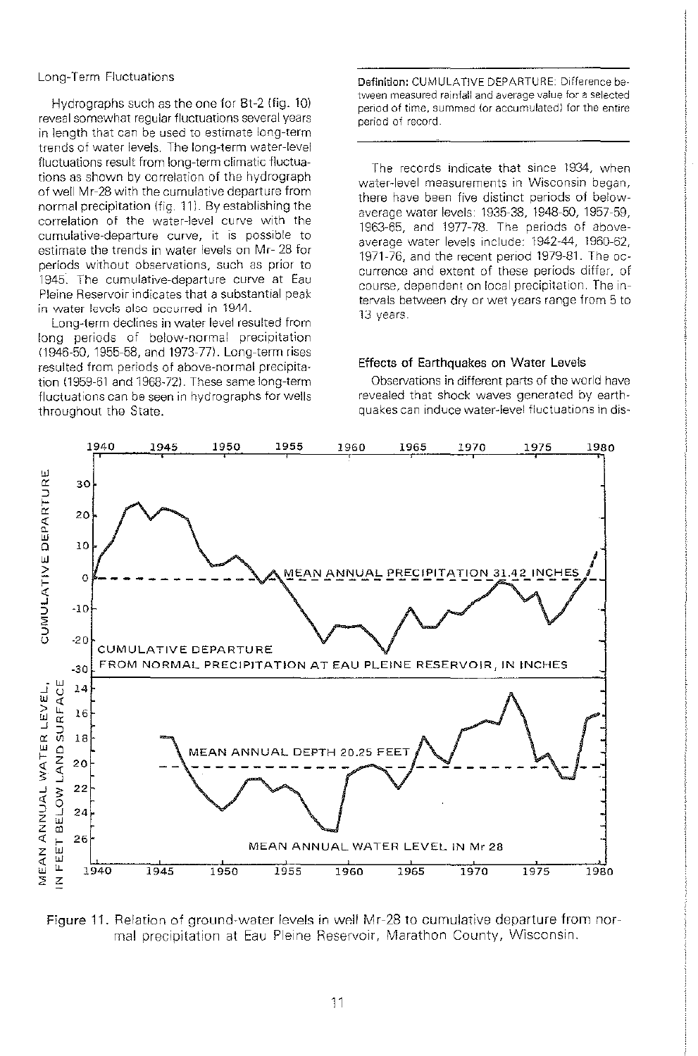#### Long-Term Fluctuations

Hydrographs such as the one for Bt-2 (fig. 10) reveal somewhat regular fluctuations several years in length that can be used to estimate long-term trends of water levels. The long-term water-level fluctuations result from long-term climatic fluctuations as shown by correlation of the hydrograph of well Mr-28 with the cumulative departure from normal precipitation (fig. 11). By establishing the correlation of the water-level curve with the cumulative-departure curve, it is possible to estimate the trends in water levels on Mr- 28 for periods without observations, such as prior to 1945. The cumulative-departure curve at Eau Pleine Reservoir indicates that a substantial peak in water levels also occurred in 1944.

Long-term declines in water level resulted from long periods of below-normal precipitation (1946-50, 1955-58, and 1973-77). Long-term rises resulted from periods of above-normal precipitation (1959-61 and 1968-72). These same long-term fluctuations can be seen in hydrographs for wells throughout the State.

Definition: CUMULATIVE DEPARTURE: D1fference between measured rainfall and average value for a selected period of time, summed (or accumulated) for the entire period of record

The records indicate that since 1934, when water-level measurements in Wisconsin began, there have been five distinct periods of belowaverage water levels: 1935-38, 1948-50, 1957-59, 1963-65, and 1977-78. The periods of aboveaverage water levels include: 1942-44, 1960-62, 1971-76, and the recent period 1979-81. The occurrence and extent of these periods differ, of course, dependent on local precipitation. The intervals between dry or wet years range from 5 to 13 years.

#### Effects of Earthquakes on Water Levels

Observations in different parts of the world have revealed that shock waves generated by earthquakes can induce water-level fluctuations in dis-



Figure 11. Relation of ground-water levels in well Mr-28 to cumulative departure from normal precipitation at Eau Pleine Reservoir, Marathon County, Wisconsin.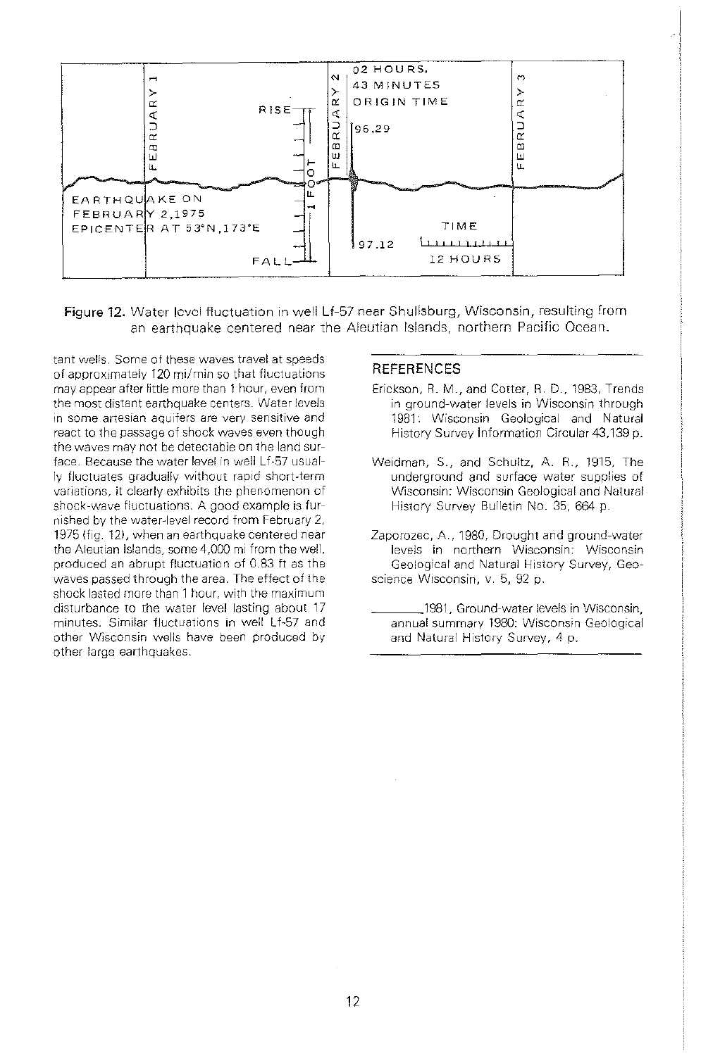

**Figure 12.** Water level fluctuation in well Lf-57 near Shullsburg, Wisconsin, resulting from an earthquake centered near the Aleutian Islands, northern Pacific Ocean.

tant wells. Some of these waves travel at speeds of approximately 120 mi/min so that fluctuations may appear after little more than 1 hour, even from the most distant earthquake centers. Water levels in some artesian aquifers are very sensitive and react to the passage of shock waves even though the waves may not be detectable on the land surface. Because the water level in well Lf·57 usually fluctuates gradually without rapid short-term variations, it clearly exhibits the phenomenon of shock-wave fluctuations. A good example is furnished by the water-level record from February 2, 1975 (fig. 12), when an earthquake centered near the Aleutian Islands, some 4,000 mi from the well, produced an abrupt fluctuation of 0.83 ft as the waves passed through the area. The effect of the shock lasted more than 1 hour, with the maximum disturbance to the water level lasting about 17 minutes. Similar fluctuations in well Lf-57 and other Wisconsin wells have been produced by other large earthquakes.

#### **REFERENCES**

- Erickson, R. M., and Cotter, R. D., 1983, Trends in ground-water levels in Wisconsin through 1981: Wisconsin Geological and Natural History Survey Information Circular 43,139 p.
- Weidman, S., and Schultz, A. R., 1915, The underground and surface water supplies of Wisconsin: Wisconsin Geological and Natural History Survey Bulletin No. 35, 664 p.
- Zaporozec, A., 1980, Drought and ground-water levels in northern Wisconsin: Wisconsin Geological and Natural History Survey, Geoscience Wisconsin, v. 5, 92 p.
	- 1981, Ground-water levels in Wisconsin, annual summary 1980: Wisconsin Geological and Natural History Survey, 4 p.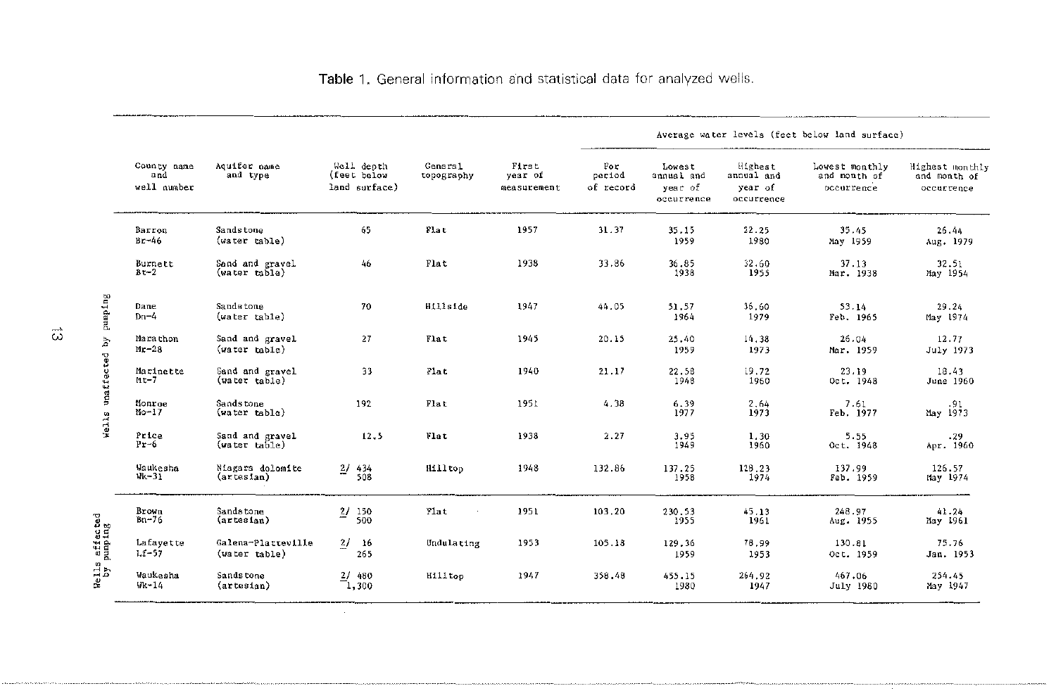|                             |                                   |                                     |                          |            |                                            | Average water levels (feet below land surface) |                                 |                            |                                               |                                                |                                              |                                               |
|-----------------------------|-----------------------------------|-------------------------------------|--------------------------|------------|--------------------------------------------|------------------------------------------------|---------------------------------|----------------------------|-----------------------------------------------|------------------------------------------------|----------------------------------------------|-----------------------------------------------|
|                             | County name<br>and<br>well number |                                     | Acuifer pame<br>and type |            | Well depth<br>(feet below<br>land surface) | General<br>topography                          | First<br>year of<br>measurement | For<br>period<br>of record | Loyest<br>annual and<br>year of<br>occurrence | Highest<br>annual and<br>year of<br>occurrence | Lowest monthly<br>and month of<br>occurrence | Highest monthly<br>and month of<br>occurrence |
|                             | Barron<br>$Br-46$                 | Sandstone<br>(water table)          | 65                       | Flat       | 1957                                       | 31.37                                          | 35.15<br>1959                   | 22.25<br>1980              | 35.45<br>May 1959                             | 26.44<br>Aug. 1979                             |                                              |                                               |
|                             | Burnett<br>$Bt-2$                 | Sand and gravel<br>(water table)    | 46                       | Flat       | 1938                                       | 33,86                                          | 36.85<br>1938                   | 32.60<br>1955              | 37.13<br>Mar. 1938                            | 32.51<br>May 1954                              |                                              |                                               |
| Wells unaffected by pumping | Dane<br>$Dn-4$                    | Sandstone<br>(water table)          | 70                       | Hillside   | 1947                                       | 44.05                                          | 51.57<br>1964                   | 36.60<br>1979              | 53.14<br>Feb. 1965                            | 29.24<br>May 1974                              |                                              |                                               |
|                             | Marathon<br>$Mr-28$               | Sand and gravel<br>(water table)    | 27                       | Flat       | 1945                                       | 20.15                                          | 25,40<br>1959                   | 14.38<br>1973              | 26.04<br>Mar. 1959                            | 12.77<br>July 1973                             |                                              |                                               |
|                             | Marinette<br>$Mt-7$               | Sand and gravel<br>(water table)    | 33                       | Flat       | 1940                                       | 21.17                                          | 22.58<br>1948                   | 19.72<br>1960              | 23.19<br>Oct. 1948                            | 18.43<br>June 1960                             |                                              |                                               |
|                             | Monroe<br>$M_0-17$                | Sands tone<br>(water table)         | 192                      | Flat       | 1951                                       | 4.38                                           | 6.39<br>1977                    | 2.64<br>1973               | 7.61<br>Feb. 1977                             | 91.<br>Nay 1973                                |                                              |                                               |
|                             | Price<br>$Pr-6$                   | Sand and gravel<br>(water ta51e)    | 12.5                     | Vlat       | 1938                                       | 2.27                                           | 3.95<br>1949                    | 1.30<br>1960               | 5.55<br>Oct. 1948                             | .29<br>Apr. 1960                               |                                              |                                               |
|                             | Waukesha<br>$Wk - 31$             | Niagara dolomite<br>(artesian)      | $\frac{27}{508}$         | Hilltop    | 1948                                       | 132.86                                         | 137.25<br>1958                  | 128.23<br>1974             | 137.99<br>Feb. 1959                           | 126.57<br>May 1974                             |                                              |                                               |
|                             | Brown<br>$Bn-76$                  | Sandstone<br>(artesian)             | $\frac{27}{500}$         | Flat       | 1951                                       | 103.20                                         | 230.53<br>1955                  | 45.13<br>1961              | 248.97<br>Aug. 1955                           | 41.24<br>May 1961                              |                                              |                                               |
| gurdumd                     | Lafavette<br>$Lt-57$              | Galena-Platteville<br>(water table) | $\frac{2}{ }$ 16<br>265  | Undulating | 1953                                       | 105.18                                         | 129.36<br>1959                  | 78.99<br>1953              | 130.81<br>Oct. 1959                           | 75.76<br>Jan. 1953                             |                                              |                                               |
| à                           | Waukesha<br>$W - 14$              | Sandstone<br>$(\arctes1an)$         | $\frac{27}{1,300}$       | Hilltop    | 1947                                       | 358.48                                         | 455.15<br>1980                  | 264.92<br>1947             | 467.06<br>July 1980                           | 254.45<br>May 1947                             |                                              |                                               |

Table 1. General information and statistical data for analyzed wells.

Wells affected<br>by numping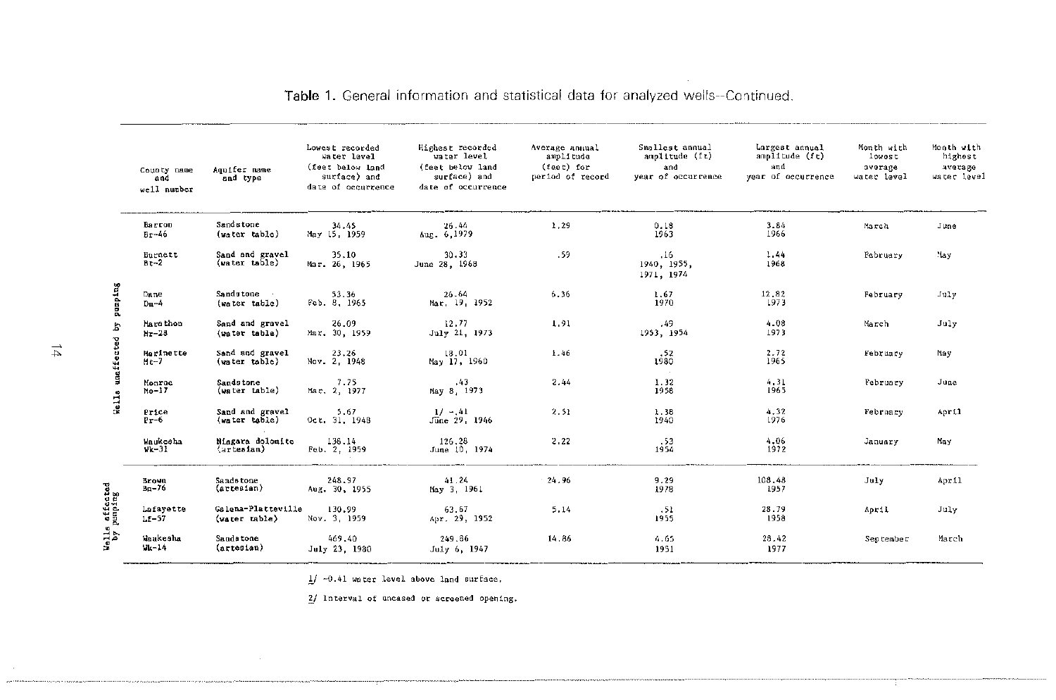|                                                  | County name<br>and<br>well number | Acuifer name<br>and type            | Lowest recorded<br>Water level<br>(feet below land<br>surface) and<br>date of occurrence | Highest recorded<br>water level<br>(feet below land<br>surface) and<br>date of occurrence | Average annual<br>amplitude<br>(feet) for<br>period of record | Smallest annual<br>amplitude (ft)<br>and<br>vear of occurrence | Largest annual<br>amplitude (ft)<br>and<br>year of occurrence | Month with<br>lowest<br>average<br>water level | Month with<br>highest<br>average<br>water level |
|--------------------------------------------------|-----------------------------------|-------------------------------------|------------------------------------------------------------------------------------------|-------------------------------------------------------------------------------------------|---------------------------------------------------------------|----------------------------------------------------------------|---------------------------------------------------------------|------------------------------------------------|-------------------------------------------------|
|                                                  | Barron<br>$Br-46$                 | Sandstone<br>(water table)          | 34.45<br>May 15, 1959                                                                    | 26.44<br>Aug. 6, 1979                                                                     | 1,29                                                          | 0.18<br>1963                                                   | 3.84<br>1966                                                  | Harch                                          | June                                            |
| pump <sub>1ng</sub><br>b<br>unaffected<br>de 11s | Burnett<br>$Bt-2$                 | Sand and gravel<br>(water table)    | 35.10<br>Mar. 26, 1965                                                                   | 30.33<br>June 28, 1968                                                                    | .59                                                           | 16<br>1940 1955.<br>1971, 1974                                 | 1.44<br>1968                                                  | February                                       | :lay                                            |
|                                                  | Dane<br>$Dn-4$                    | Sandstone -<br>(water table)        | 53.36<br>Feb. 8, 1965                                                                    | 26 64<br>Mar. 19, 1952                                                                    | 6.36                                                          | 1.67<br>1970                                                   | 12,82<br>1973                                                 | February                                       | July                                            |
|                                                  | Mars thon<br>$hr-28$              | Sand and gravel<br>(water table)    | 26.09<br>Mar. 30, 1959                                                                   | 12.77<br>July 21, 1973                                                                    | 1.91                                                          | .49<br>1953. 1954                                              | 4.08<br>1973                                                  | March                                          | July                                            |
|                                                  | Marinette<br>$Ht-7$               | Sand and gravel<br>(water table)    | 23.26<br>Nov. 2, 1948                                                                    | 18.01<br>May 17, 1960                                                                     | 1.46                                                          | .52<br>1980<br><b>Contract</b>                                 | 2.72<br>1965                                                  | February                                       | May                                             |
|                                                  | Monroe<br>$Mo-17$                 | Sandstone<br>(water table)          | 7.75<br>Mar. 2, 1977                                                                     | $-43$<br>May 8, 1973                                                                      | 2.44                                                          | 1.32<br>1958                                                   | 4.31<br>1965                                                  | February                                       | June                                            |
|                                                  | Price<br>$Pr-6$                   | Sand and gravel<br>(water table)    | 5.67<br>Oct. 31, 1948                                                                    | $1/ - 41$<br>June 29, 1946                                                                | 2.51                                                          | 1.38<br>1940                                                   | 4,32<br>1976                                                  | February                                       | April                                           |
|                                                  | Vaukesha<br>$v$ k $-31$           | Niagara dolomite<br>(artesian)      | 138.14<br>Feb. 2, 1959                                                                   | 126.28<br>June 10, 1974                                                                   | 2.22                                                          | .53<br>1954                                                    | 4.06<br>1972                                                  | January                                        | May                                             |
|                                                  | <b>Brown</b><br>$Bn-76$           | Sandstone<br>$(\text{artestan})$    | 248.97<br>Aug. 30, 1955                                                                  | 41.24<br>May 3, 1961                                                                      | 24.96                                                         | 9.29<br>1978                                                   | 108.48<br>1957                                                | July                                           | April                                           |
|                                                  | Lafayette<br>$1.5 - 57$           | Galena-Platteville<br>(water table) | 130.99<br>Nov. 3, 1959                                                                   | 63.67<br>Apr. 29, 1952                                                                    | 5.14                                                          | .51<br>1955                                                    | 28.79<br>1958                                                 | April                                          | July                                            |
|                                                  | Waukesha<br>$Wk-14$               | <b>Sandatone</b><br>$(arce^{-1}$    | 469,40<br>July 23, 1980                                                                  | 249.86<br>July 6, 1947                                                                    | 14.86                                                         | 4.65<br>1951                                                   | 28.42<br>1977                                                 | September                                      | March                                           |

Table 1. General information and statistical data for analyzed wells--Continued.

 $1/ -0.41$  water level above land surface.

2/ Interval of uncased or screened opening.

 $\overrightarrow{z}$ 

Wells affected